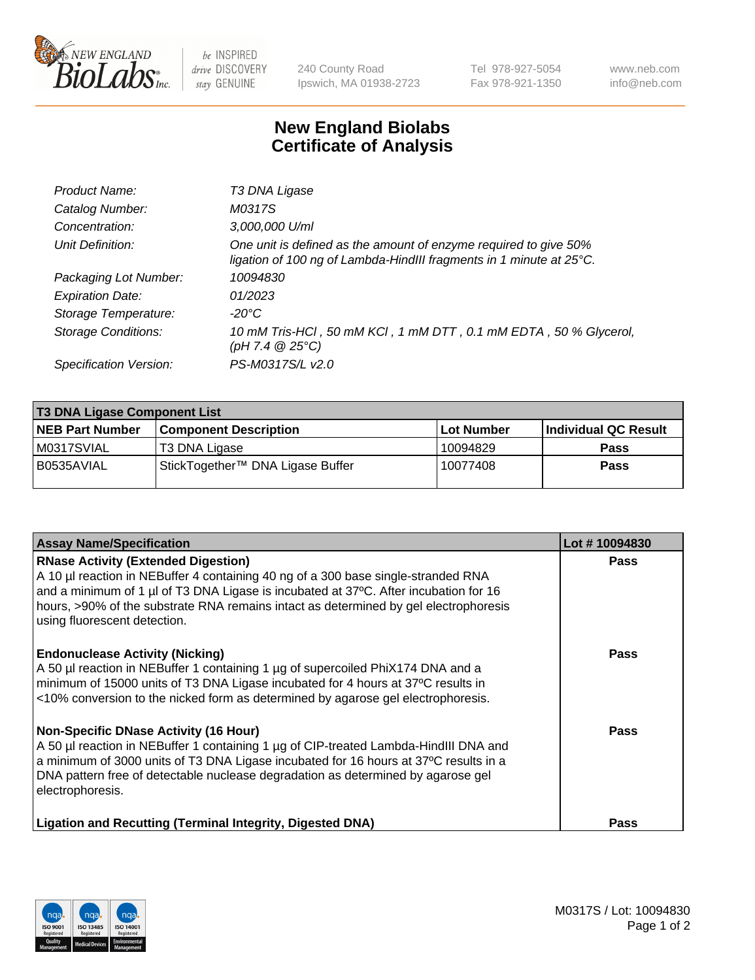

 $be$  INSPIRED drive DISCOVERY stay GENUINE

240 County Road Ipswich, MA 01938-2723 Tel 978-927-5054 Fax 978-921-1350 www.neb.com info@neb.com

## **New England Biolabs Certificate of Analysis**

| Product Name:              | T3 DNA Ligase                                                                                                                           |
|----------------------------|-----------------------------------------------------------------------------------------------------------------------------------------|
| Catalog Number:            | M0317S                                                                                                                                  |
| Concentration:             | 3,000,000 U/ml                                                                                                                          |
| Unit Definition:           | One unit is defined as the amount of enzyme required to give 50%<br>ligation of 100 ng of Lambda-HindIII fragments in 1 minute at 25°C. |
| Packaging Lot Number:      | 10094830                                                                                                                                |
| <b>Expiration Date:</b>    | 01/2023                                                                                                                                 |
| Storage Temperature:       | $-20^{\circ}$ C                                                                                                                         |
| <b>Storage Conditions:</b> | 10 mM Tris-HCl, 50 mM KCl, 1 mM DTT, 0.1 mM EDTA, 50 % Glycerol,<br>(pH 7.4 $@25°C$ )                                                   |
| Specification Version:     | PS-M0317S/L v2.0                                                                                                                        |

| <b>T3 DNA Ligase Component List</b> |                                  |            |                      |  |  |
|-------------------------------------|----------------------------------|------------|----------------------|--|--|
| <b>NEB Part Number</b>              | <b>Component Description</b>     | Lot Number | Individual QC Result |  |  |
| M0317SVIAL                          | T3 DNA Ligase                    | 10094829   | <b>Pass</b>          |  |  |
| B0535AVIAL                          | StickTogether™ DNA Ligase Buffer | 10077408   | Pass                 |  |  |

| <b>Assay Name/Specification</b>                                                                                                                                                                                                                                                                                                                 | Lot #10094830 |
|-------------------------------------------------------------------------------------------------------------------------------------------------------------------------------------------------------------------------------------------------------------------------------------------------------------------------------------------------|---------------|
| <b>RNase Activity (Extended Digestion)</b><br>A 10 µl reaction in NEBuffer 4 containing 40 ng of a 300 base single-stranded RNA<br>and a minimum of 1 µl of T3 DNA Ligase is incubated at 37°C. After incubation for 16<br>hours, >90% of the substrate RNA remains intact as determined by gel electrophoresis<br>using fluorescent detection. | <b>Pass</b>   |
| <b>Endonuclease Activity (Nicking)</b><br>A 50 µl reaction in NEBuffer 1 containing 1 µg of supercoiled PhiX174 DNA and a<br>minimum of 15000 units of T3 DNA Ligase incubated for 4 hours at 37°C results in<br><10% conversion to the nicked form as determined by agarose gel electrophoresis.                                               | Pass          |
| Non-Specific DNase Activity (16 Hour)<br>A 50 µl reaction in NEBuffer 1 containing 1 µg of CIP-treated Lambda-HindIII DNA and<br>a minimum of 3000 units of T3 DNA Ligase incubated for 16 hours at 37°C results in a<br>DNA pattern free of detectable nuclease degradation as determined by agarose gel<br>electrophoresis.                   | Pass          |
| Ligation and Recutting (Terminal Integrity, Digested DNA)                                                                                                                                                                                                                                                                                       | <b>Pass</b>   |